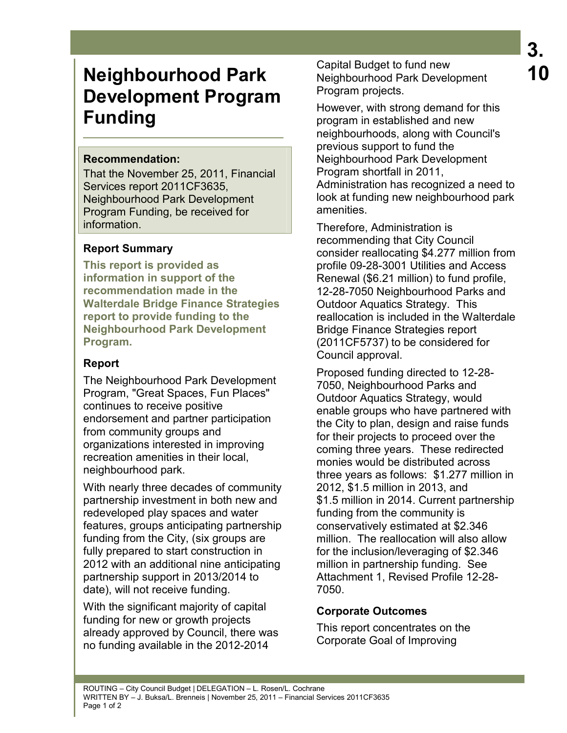# **Neighbourhood Park Development Program Funding**

#### **Recommendation:**

That the November 25, 2011, Financial Services report 2011CF3635, Neighbourhood Park Development Program Funding, be received for information.

## **Report Summary**

**This report is provided as information in support of the recommendation made in the Walterdale Bridge Finance Strategies report to provide funding to the Neighbourhood Park Development Program.** 

# **Report**

The Neighbourhood Park Development Program, "Great Spaces, Fun Places" continues to receive positive endorsement and partner participation from community groups and organizations interested in improving recreation amenities in their local, neighbourhood park.

With nearly three decades of community partnership investment in both new and redeveloped play spaces and water features, groups anticipating partnership funding from the City, (six groups are fully prepared to start construction in 2012 with an additional nine anticipating partnership support in 2013/2014 to date), will not receive funding.

With the significant majority of capital funding for new or growth projects already approved by Council, there was no funding available in the 2012-2014

Capital Budget to fund new Neighbourhood Park Development Program projects.

However, with strong demand for this program in established and new neighbourhoods, along with Council's previous support to fund the Neighbourhood Park Development Program shortfall in 2011, Administration has recognized a need to look at funding new neighbourhood park amenities.

Therefore, Administration is recommending that City Council consider reallocating \$4.277 million from profile 09-28-3001 Utilities and Access Renewal (\$6.21 million) to fund profile, 12-28-7050 Neighbourhood Parks and Outdoor Aquatics Strategy. This reallocation is included in the Walterdale Bridge Finance Strategies report (2011CF5737) to be considered for Council approval.

Proposed funding directed to 12-28- 7050, Neighbourhood Parks and Outdoor Aquatics Strategy, would enable groups who have partnered with the City to plan, design and raise funds for their projects to proceed over the coming three years. These redirected monies would be distributed across three years as follows: \$1.277 million in 2012, \$1.5 million in 2013, and \$1.5 million in 2014. Current partnership funding from the community is conservatively estimated at \$2.346 million. The reallocation will also allow for the inclusion/leveraging of \$2.346 million in partnership funding. See Attachment 1, Revised Profile 12-28- 7050.

## **Corporate Outcomes**

This report concentrates on the Corporate Goal of Improving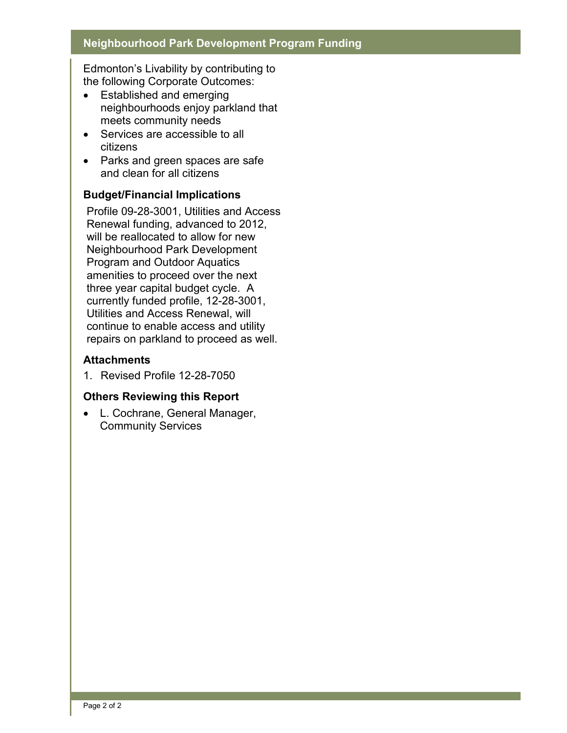#### **Neighbourhood Park Development Program Funding**

Edmonton's Livability by contributing to the following Corporate Outcomes:

- Established and emerging neighbourhoods enjoy parkland that meets community needs
- Services are accessible to all citizens
- Parks and green spaces are safe and clean for all citizens

#### **Budget/Financial Implications**

Profile 09-28-3001, Utilities and Access Renewal funding, advanced to 2012, will be reallocated to allow for new Neighbourhood Park Development Program and Outdoor Aquatics amenities to proceed over the next three year capital budget cycle. A currently funded profile, 12-28-3001, Utilities and Access Renewal, will continue to enable access and utility repairs on parkland to proceed as well.

#### **Attachments**

1. Revised Profile 12-28-7050

## **Others Reviewing this Report**

• L. Cochrane, General Manager, Community Services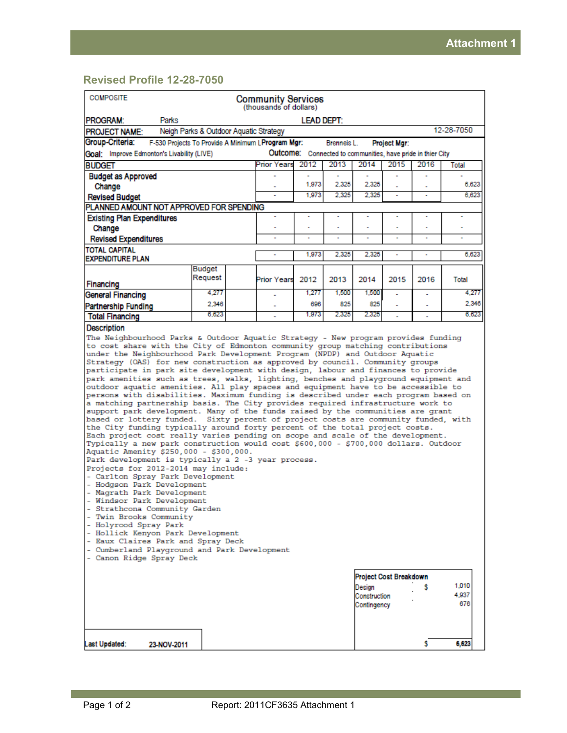# **Revised Profile 12-28-7050**

| <b>COMPOSITE</b><br><b>Community Services</b><br>(thousands of dollars)                                                                                                                                                                                                                                                                                                                                                                                                                                                                                                                                                                                                                                                                                                                                                                                                                                                                                                                                                                                                                                                                                                                                                                                                                                                                                                                                                                                                                                                                                                                                                                                                                                                                                         |                                                                                                           |  |                      |       |             |                                       |                     |      |                       |       |
|-----------------------------------------------------------------------------------------------------------------------------------------------------------------------------------------------------------------------------------------------------------------------------------------------------------------------------------------------------------------------------------------------------------------------------------------------------------------------------------------------------------------------------------------------------------------------------------------------------------------------------------------------------------------------------------------------------------------------------------------------------------------------------------------------------------------------------------------------------------------------------------------------------------------------------------------------------------------------------------------------------------------------------------------------------------------------------------------------------------------------------------------------------------------------------------------------------------------------------------------------------------------------------------------------------------------------------------------------------------------------------------------------------------------------------------------------------------------------------------------------------------------------------------------------------------------------------------------------------------------------------------------------------------------------------------------------------------------------------------------------------------------|-----------------------------------------------------------------------------------------------------------|--|----------------------|-------|-------------|---------------------------------------|---------------------|------|-----------------------|-------|
| PROGRAM:<br>Parks                                                                                                                                                                                                                                                                                                                                                                                                                                                                                                                                                                                                                                                                                                                                                                                                                                                                                                                                                                                                                                                                                                                                                                                                                                                                                                                                                                                                                                                                                                                                                                                                                                                                                                                                               | <b>LEAD DEPT:</b>                                                                                         |  |                      |       |             |                                       |                     |      |                       |       |
| <b>PROJECT NAME:</b>                                                                                                                                                                                                                                                                                                                                                                                                                                                                                                                                                                                                                                                                                                                                                                                                                                                                                                                                                                                                                                                                                                                                                                                                                                                                                                                                                                                                                                                                                                                                                                                                                                                                                                                                            | Neigh Parks & Outdoor Aquatic Strategy                                                                    |  |                      |       |             |                                       |                     |      | 12-28-7050            |       |
| Group-Criteria:<br>F-530 Projects To Provide A Minimum L Program Mgr:                                                                                                                                                                                                                                                                                                                                                                                                                                                                                                                                                                                                                                                                                                                                                                                                                                                                                                                                                                                                                                                                                                                                                                                                                                                                                                                                                                                                                                                                                                                                                                                                                                                                                           |                                                                                                           |  |                      |       | Brenneis L. |                                       | <b>Project Mgr:</b> |      |                       |       |
|                                                                                                                                                                                                                                                                                                                                                                                                                                                                                                                                                                                                                                                                                                                                                                                                                                                                                                                                                                                                                                                                                                                                                                                                                                                                                                                                                                                                                                                                                                                                                                                                                                                                                                                                                                 | Outcome: Connected to communities, have pride in thier City<br>Goal: Improve Edmonton's Livability (LIVE) |  |                      |       |             |                                       |                     |      |                       |       |
| <b>BUDGET</b>                                                                                                                                                                                                                                                                                                                                                                                                                                                                                                                                                                                                                                                                                                                                                                                                                                                                                                                                                                                                                                                                                                                                                                                                                                                                                                                                                                                                                                                                                                                                                                                                                                                                                                                                                   |                                                                                                           |  | Prior Years          | 2012  | 2013        | 2014                                  | 2015                | 2016 | Total                 |       |
| <b>Budget as Approved</b>                                                                                                                                                                                                                                                                                                                                                                                                                                                                                                                                                                                                                                                                                                                                                                                                                                                                                                                                                                                                                                                                                                                                                                                                                                                                                                                                                                                                                                                                                                                                                                                                                                                                                                                                       |                                                                                                           |  |                      |       |             |                                       |                     |      |                       |       |
| Change                                                                                                                                                                                                                                                                                                                                                                                                                                                                                                                                                                                                                                                                                                                                                                                                                                                                                                                                                                                                                                                                                                                                                                                                                                                                                                                                                                                                                                                                                                                                                                                                                                                                                                                                                          |                                                                                                           |  |                      | 1,973 | 2,325       | 2,325                                 |                     |      |                       | 6,623 |
| <b>Revised Budget</b>                                                                                                                                                                                                                                                                                                                                                                                                                                                                                                                                                                                                                                                                                                                                                                                                                                                                                                                                                                                                                                                                                                                                                                                                                                                                                                                                                                                                                                                                                                                                                                                                                                                                                                                                           |                                                                                                           |  |                      | 1.973 | 2.325       | 2.325                                 | ٠                   |      |                       | 6.623 |
| PLANNED AMOUNT NOT APPROVED FOR SPENDING                                                                                                                                                                                                                                                                                                                                                                                                                                                                                                                                                                                                                                                                                                                                                                                                                                                                                                                                                                                                                                                                                                                                                                                                                                                                                                                                                                                                                                                                                                                                                                                                                                                                                                                        |                                                                                                           |  |                      |       |             |                                       |                     |      |                       |       |
| <b>Existing Plan Expenditures</b>                                                                                                                                                                                                                                                                                                                                                                                                                                                                                                                                                                                                                                                                                                                                                                                                                                                                                                                                                                                                                                                                                                                                                                                                                                                                                                                                                                                                                                                                                                                                                                                                                                                                                                                               |                                                                                                           |  | ÷,                   | ÷,    | ÷           | ÷                                     | ÷                   | ٠    | ÷                     |       |
| Change                                                                                                                                                                                                                                                                                                                                                                                                                                                                                                                                                                                                                                                                                                                                                                                                                                                                                                                                                                                                                                                                                                                                                                                                                                                                                                                                                                                                                                                                                                                                                                                                                                                                                                                                                          |                                                                                                           |  |                      |       |             |                                       |                     |      |                       |       |
| <b>Revised Expenditures</b>                                                                                                                                                                                                                                                                                                                                                                                                                                                                                                                                                                                                                                                                                                                                                                                                                                                                                                                                                                                                                                                                                                                                                                                                                                                                                                                                                                                                                                                                                                                                                                                                                                                                                                                                     |                                                                                                           |  | ٠                    | ÷     | ÷           | ÷                                     |                     | ٠    | ÷                     |       |
| <b>TOTAL CAPITAL</b><br><b>EXPENDITURE PLAN</b>                                                                                                                                                                                                                                                                                                                                                                                                                                                                                                                                                                                                                                                                                                                                                                                                                                                                                                                                                                                                                                                                                                                                                                                                                                                                                                                                                                                                                                                                                                                                                                                                                                                                                                                 |                                                                                                           |  | ٠                    | 1.973 | 2.325       | 2.325                                 |                     | ٠    |                       | 6,623 |
|                                                                                                                                                                                                                                                                                                                                                                                                                                                                                                                                                                                                                                                                                                                                                                                                                                                                                                                                                                                                                                                                                                                                                                                                                                                                                                                                                                                                                                                                                                                                                                                                                                                                                                                                                                 | <b>Budget</b>                                                                                             |  |                      |       |             |                                       |                     |      |                       |       |
| Financing                                                                                                                                                                                                                                                                                                                                                                                                                                                                                                                                                                                                                                                                                                                                                                                                                                                                                                                                                                                                                                                                                                                                                                                                                                                                                                                                                                                                                                                                                                                                                                                                                                                                                                                                                       | Request                                                                                                   |  | <b>Prior Years</b>   | 2012  | 2013        | 2014                                  | 2015                | 2016 | Total                 |       |
| <b>General Financing</b>                                                                                                                                                                                                                                                                                                                                                                                                                                                                                                                                                                                                                                                                                                                                                                                                                                                                                                                                                                                                                                                                                                                                                                                                                                                                                                                                                                                                                                                                                                                                                                                                                                                                                                                                        | 4.277                                                                                                     |  |                      | 1.277 | 1,500       | 1,500                                 |                     | ٠    |                       | 4.277 |
| <b>Partnership Funding</b>                                                                                                                                                                                                                                                                                                                                                                                                                                                                                                                                                                                                                                                                                                                                                                                                                                                                                                                                                                                                                                                                                                                                                                                                                                                                                                                                                                                                                                                                                                                                                                                                                                                                                                                                      | 2.346                                                                                                     |  |                      | 696   | 825         | 825                                   |                     |      |                       | 2.346 |
| <b>Total Financing</b>                                                                                                                                                                                                                                                                                                                                                                                                                                                                                                                                                                                                                                                                                                                                                                                                                                                                                                                                                                                                                                                                                                                                                                                                                                                                                                                                                                                                                                                                                                                                                                                                                                                                                                                                          | 6.623                                                                                                     |  | $\ddot{\phantom{0}}$ | 1.973 | 2.325       | 2,325                                 |                     | ٠    |                       | 6,623 |
| <b>Description</b>                                                                                                                                                                                                                                                                                                                                                                                                                                                                                                                                                                                                                                                                                                                                                                                                                                                                                                                                                                                                                                                                                                                                                                                                                                                                                                                                                                                                                                                                                                                                                                                                                                                                                                                                              |                                                                                                           |  |                      |       |             |                                       |                     |      |                       |       |
| The Neighbourhood Parks & Outdoor Aquatic Strategy - New program provides funding<br>to cost share with the City of Edmonton community group matching contributions<br>under the Neighbourhood Park Development Program (NPDP) and Outdoor Aquatic<br>Strategy (OAS) for new construction as approved by council. Community groups<br>participate in park site development with design, labour and finances to provide<br>park amenities such as trees, walks, lighting, benches and playground equipment and<br>outdoor aquatic amenities. All play spaces and equipment have to be accessible to<br>persons with disabilities. Maximum funding is described under each program based on<br>a matching partnership basis. The City provides required infrastructure work to<br>support park development. Many of the funds raised by the communities are grant<br>based or lottery funded. Sixty percent of project costs are community funded, with<br>the City funding typically around forty percent of the total project costs.<br>Each project cost really varies pending on scope and scale of the development.<br>Typically a new park construction would cost \$600,000 - \$700,000 dollars. Outdoor<br>Aquatic Amenity \$250,000 - \$300,000.<br>Park development is typically a 2 -3 year process.<br>Projects for 2012-2014 may include:<br>- Carlton Spray Park Development<br>- Hodgson Park Development<br>- Magrath Park Development<br>- Windsor Park Development<br>- Strathcona Community Garden<br>- Twin Brooks Community<br>- Holyrood Spray Park<br>- Hollick Kenyon Park Development<br>- Eaux Claires Park and Spray Deck<br>- Cumberland Playground and Park Development<br>- Canon Ridge Spray Deck<br><b>Project Cost Breakdown</b> |                                                                                                           |  |                      |       |             |                                       |                     |      |                       |       |
|                                                                                                                                                                                                                                                                                                                                                                                                                                                                                                                                                                                                                                                                                                                                                                                                                                                                                                                                                                                                                                                                                                                                                                                                                                                                                                                                                                                                                                                                                                                                                                                                                                                                                                                                                                 |                                                                                                           |  |                      |       |             | Design<br>Construction<br>Contingency |                     | s    | 1,010<br>4,937<br>676 |       |
| Last Updated:<br>23-NOV-2011                                                                                                                                                                                                                                                                                                                                                                                                                                                                                                                                                                                                                                                                                                                                                                                                                                                                                                                                                                                                                                                                                                                                                                                                                                                                                                                                                                                                                                                                                                                                                                                                                                                                                                                                    |                                                                                                           |  |                      |       |             |                                       |                     | s    | 6,623                 |       |